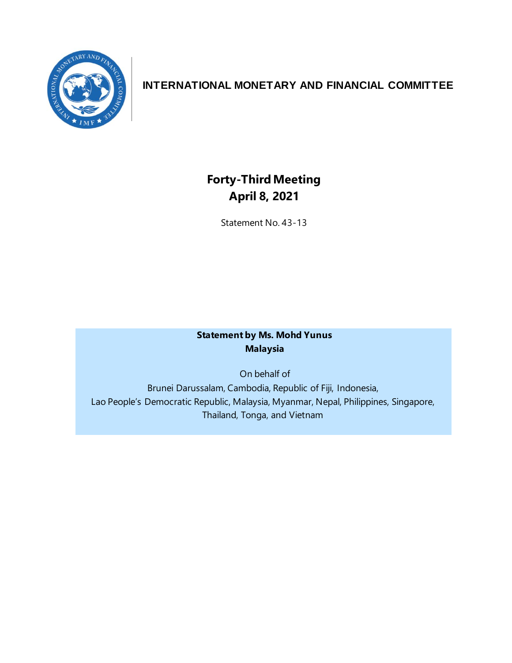

## **INTERNATIONAL MONETARY AND FINANCIAL COMMITTEE**

# **Forty-Third Meeting April 8, 2021**

Statement No. 43-13

### **Statement by Ms. Mohd Yunus Malaysia**

On behalf of

Brunei Darussalam, Cambodia, Republic of Fiji, Indonesia, Lao People's Democratic Republic, Malaysia, Myanmar, Nepal, Philippines, Singapore, Thailand, Tonga, and Vietnam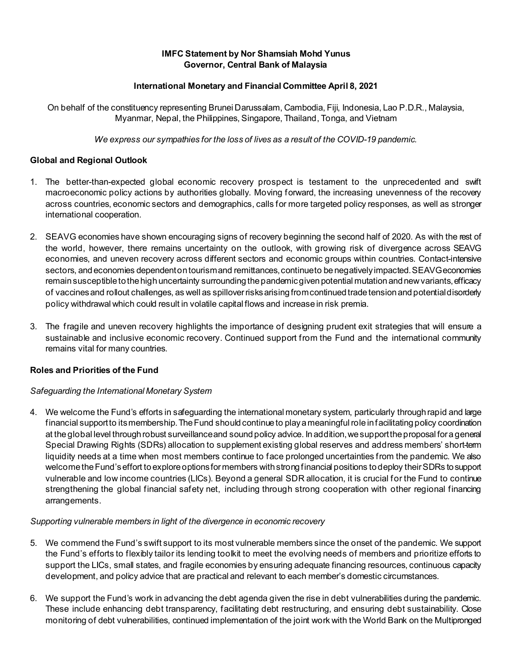#### **IMFC Statement by Nor Shamsiah Mohd Yunus Governor, Central Bank of Malaysia**

#### **International Monetary and Financial Committee April 8, 2021**

On behalf of the constituency representing Brunei Darussalam, Cambodia, Fiji, Indonesia, Lao P.D.R., Malaysia, Myanmar, Nepal, the Philippines, Singapore, Thailand, Tonga, and Vietnam

*We express our sympathies for the loss of lives as a result of the COVID-19 pandemic.*

#### **Global and Regional Outlook**

- 1. The better-than-expected global economic recovery prospect is testament to the unprecedented and swift macroeconomic policy actions by authorities globally. Moving forward, the increasing unevenness of the recovery across countries, economic sectors and demographics, calls for more targeted policy responses, as well as stronger international cooperation.
- 2. SEAVG economies have shown encouraging signs of recovery beginning the second half of 2020. As with the rest of the world, however, there remains uncertainty on the outlook, with growing risk of divergence across SEAVG economies, and uneven recovery across different sectors and economic groups within countries. Contact-intensive sectors, and economies dependent on tourism and remittances, continue to be negatively impacted. SEAVG economies remain susceptible tothe high uncertainty surrounding the pandemic given potential mutation and new variants,efficacy of vaccines and rollout challenges, as well as spilloverrisks arising fromcontinued trade tension and potentialdisorderly policy withdrawal which could result in volatile capital flows and increase in risk premia.
- 3. The fragile and uneven recovery highlights the importance of designing prudent exit strategies that will ensure a sustainable and inclusive economic recovery. Continued support from the Fund and the international community remains vital for many countries.

#### **Roles and Priorities of the Fund**

#### *Safeguarding the International Monetary System*

4. We welcome the Fund's efforts in safeguarding the international monetary system, particularly throughrapid and large financial supportto its membership.The Fund should continue to play a meaningful role in facilitating policy coordination at the global level through robust surveillance and sound policy advice. In addition, we support the proposal for a general Special Drawing Rights (SDRs) allocation to supplement existing global reserves and address members' short-term liquidity needs at a time when most members continue to face prolonged uncertainties from the pandemic. We also welcomethe Fund's effort toexplore options for members with strong financial positions to deploy their SDRs to support vulnerable and low income countries (LICs). Beyond a general SDR allocation, it is crucial for the Fund to continue strengthening the global financial safety net, including through strong cooperation with other regional financing arrangements.

#### *Supporting vulnerable members in light of the divergence in economic recovery*

- 5. We commend the Fund's swift support to its most vulnerable members since the onset of the pandemic. We support the Fund's efforts to flexibly tailor its lending toolkit to meet the evolving needs of members and prioritize efforts to support the LICs, small states, and fragile economies by ensuring adequate financing resources, continuous capacity development, and policy advice that are practical and relevant to each member's domestic circumstances.
- 6. We support the Fund's work in advancing the debt agenda given the rise in debt vulnerabilities during the pandemic. These include enhancing debt transparency, facilitating debt restructuring, and ensuring debt sustainability. Close monitoring of debt vulnerabilities, continued implementation of the joint work with the World Bank on the Multipronged